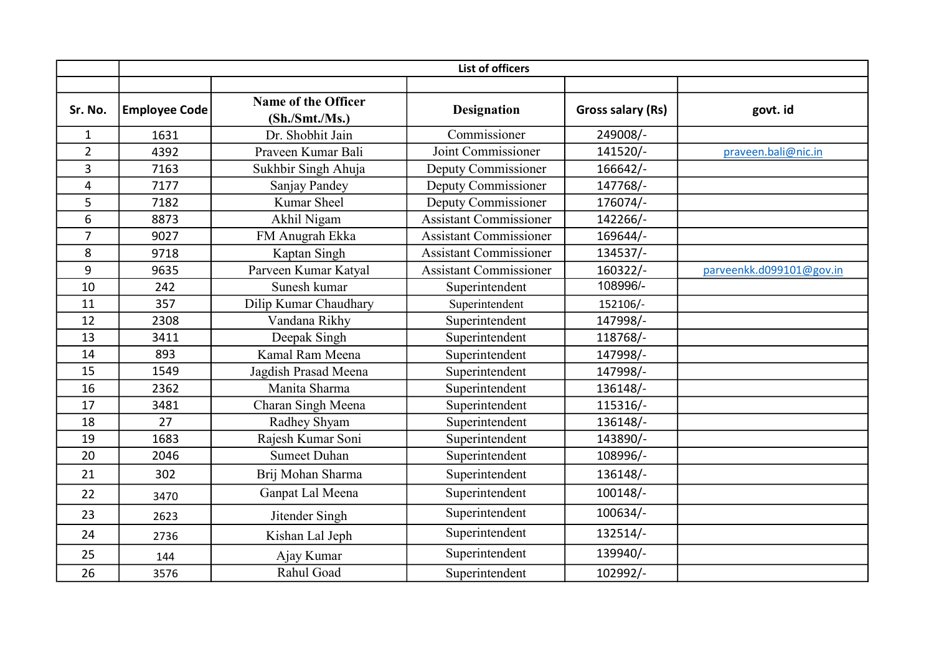|                | <b>List of officers</b> |                                       |                               |                          |                          |  |  |
|----------------|-------------------------|---------------------------------------|-------------------------------|--------------------------|--------------------------|--|--|
| Sr. No.        | <b>Employee Code</b>    | Name of the Officer<br>(Sh./Smt./Ms.) | <b>Designation</b>            | <b>Gross salary (Rs)</b> | govt. id                 |  |  |
| $\mathbf{1}$   | 1631                    | Dr. Shobhit Jain                      | Commissioner                  | 249008/-                 |                          |  |  |
| $\overline{2}$ | 4392                    | Praveen Kumar Bali                    | Joint Commissioner            | 141520/-                 | praveen.bali@nic.in      |  |  |
| 3              | 7163                    | Sukhbir Singh Ahuja                   | Deputy Commissioner           | 166642/-                 |                          |  |  |
| 4              | 7177                    | Sanjay Pandey                         | Deputy Commissioner           | 147768/-                 |                          |  |  |
| 5              | 7182                    | <b>Kumar Sheel</b>                    | Deputy Commissioner           | 176074/-                 |                          |  |  |
| 6              | 8873                    | Akhil Nigam                           | <b>Assistant Commissioner</b> | 142266/-                 |                          |  |  |
| $\overline{7}$ | 9027                    | FM Anugrah Ekka                       | <b>Assistant Commissioner</b> | 169644/-                 |                          |  |  |
| 8              | 9718                    | Kaptan Singh                          | <b>Assistant Commissioner</b> | 134537/-                 |                          |  |  |
| 9              | 9635                    | Parveen Kumar Katyal                  | <b>Assistant Commissioner</b> | 160322/-                 | parveenkk.d099101@gov.in |  |  |
| 10             | 242                     | Sunesh kumar                          | Superintendent                | 108996/-                 |                          |  |  |
| 11             | 357                     | Dilip Kumar Chaudhary                 | Superintendent                | 152106/-                 |                          |  |  |
| 12             | 2308                    | Vandana Rikhy                         | Superintendent                | 147998/-                 |                          |  |  |
| 13             | 3411                    | Deepak Singh                          | Superintendent                | 118768/-                 |                          |  |  |
| 14             | 893                     | Kamal Ram Meena                       | Superintendent                | 147998/-                 |                          |  |  |
| 15             | 1549                    | Jagdish Prasad Meena                  | Superintendent                | 147998/-                 |                          |  |  |
| 16             | 2362                    | Manita Sharma                         | Superintendent                | 136148/-                 |                          |  |  |
| 17             | 3481                    | Charan Singh Meena                    | Superintendent                | 115316/-                 |                          |  |  |
| 18             | 27                      | Radhey Shyam                          | Superintendent                | 136148/-                 |                          |  |  |
| 19             | 1683                    | Rajesh Kumar Soni                     | Superintendent                | 143890/-                 |                          |  |  |
| 20             | 2046                    | <b>Sumeet Duhan</b>                   | Superintendent                | 108996/-                 |                          |  |  |
| 21             | 302                     | Brij Mohan Sharma                     | Superintendent                | 136148/-                 |                          |  |  |
| 22             | 3470                    | Ganpat Lal Meena                      | Superintendent                | 100148/-                 |                          |  |  |
| 23             | 2623                    | Jitender Singh                        | Superintendent                | 100634/-                 |                          |  |  |
| 24             | 2736                    | Kishan Lal Jeph                       | Superintendent                | 132514/-                 |                          |  |  |
| 25             | 144                     | Ajay Kumar                            | Superintendent                | 139940/-                 |                          |  |  |
| 26             | 3576                    | Rahul Goad                            | Superintendent                | 102992/-                 |                          |  |  |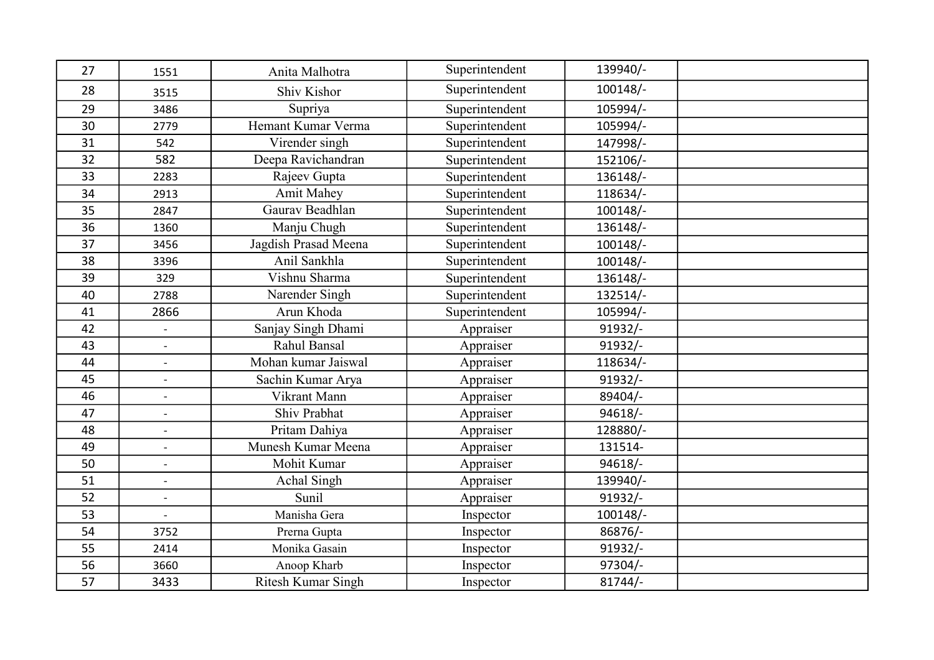| 27 | 1551                         | Anita Malhotra            | Superintendent | 139940/-   |  |
|----|------------------------------|---------------------------|----------------|------------|--|
| 28 | 3515                         | Shiv Kishor               | Superintendent | $100148/-$ |  |
| 29 | 3486                         | Supriya                   | Superintendent | 105994/-   |  |
| 30 | 2779                         | Hemant Kumar Verma        | Superintendent | 105994/-   |  |
| 31 | 542                          | Virender singh            | Superintendent | 147998/-   |  |
| 32 | 582                          | Deepa Ravichandran        | Superintendent | 152106/-   |  |
| 33 | 2283                         | Rajeev Gupta              | Superintendent | 136148/-   |  |
| 34 | 2913                         | <b>Amit Mahey</b>         | Superintendent | 118634/-   |  |
| 35 | 2847                         | Gaurav Beadhlan           | Superintendent | $100148/-$ |  |
| 36 | 1360                         | Manju Chugh               | Superintendent | 136148/-   |  |
| 37 | 3456                         | Jagdish Prasad Meena      | Superintendent | 100148/-   |  |
| 38 | 3396                         | Anil Sankhla              | Superintendent | 100148/-   |  |
| 39 | 329                          | Vishnu Sharma             | Superintendent | 136148/-   |  |
| 40 | 2788                         | Narender Singh            | Superintendent | 132514/-   |  |
| 41 | 2866                         | Arun Khoda                | Superintendent | 105994/-   |  |
| 42 | $\overline{a}$               | Sanjay Singh Dhami        | Appraiser      | $91932/-$  |  |
| 43 | $\overline{\phantom{a}}$     | Rahul Bansal              | Appraiser      | $91932/-$  |  |
| 44 | $\overline{a}$               | Mohan kumar Jaiswal       | Appraiser      | 118634/-   |  |
| 45 | $\qquad \qquad \blacksquare$ | Sachin Kumar Arya         | Appraiser      | $91932/-$  |  |
| 46 |                              | Vikrant Mann              | Appraiser      | 89404/-    |  |
| 47 | $\overline{a}$               | Shiv Prabhat              | Appraiser      | $94618/-$  |  |
| 48 | $\overline{\phantom{a}}$     | Pritam Dahiya             | Appraiser      | 128880/-   |  |
| 49 | $\overline{\phantom{a}}$     | Munesh Kumar Meena        | Appraiser      | 131514-    |  |
| 50 | $\frac{1}{2}$                | Mohit Kumar               | Appraiser      | $94618/-$  |  |
| 51 | $\ddot{\phantom{a}}$         | Achal Singh               | Appraiser      | 139940/-   |  |
| 52 | $\ddot{\phantom{a}}$         | Sunil                     | Appraiser      | 91932/-    |  |
| 53 | $\overline{\phantom{a}}$     | Manisha Gera              | Inspector      | $100148/-$ |  |
| 54 | 3752                         | Prerna Gupta              | Inspector      | 86876/-    |  |
| 55 | 2414                         | Monika Gasain             | Inspector      | $91932/-$  |  |
| 56 | 3660                         | Anoop Kharb               | Inspector      | 97304/-    |  |
| 57 | 3433                         | <b>Ritesh Kumar Singh</b> | Inspector      | $81744/-$  |  |